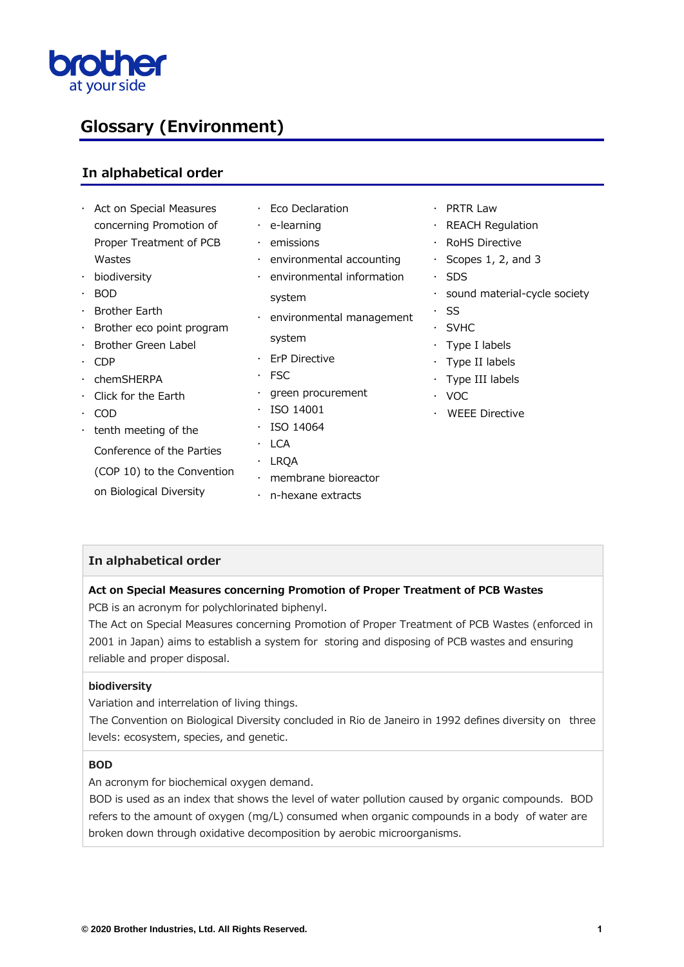

# **Glossary (Environment)**

# **In alphabetical order**

|           | · Act on Special Measures         |           | $\cdot$ Eco Declaration          | $\bullet$ | PRTR Law                             |
|-----------|-----------------------------------|-----------|----------------------------------|-----------|--------------------------------------|
|           | concerning Promotion of           |           | $\cdot$ e-learning               |           | $\cdot$ REACH Regulation             |
|           | Proper Treatment of PCB           |           | $\cdot$ emissions                |           | <b>RoHS Directive</b>                |
|           | Wastes                            |           | $\cdot$ environmental accounting |           | $\cdot$ Scopes 1, 2, and 3           |
|           | $\cdot$ biodiversity              |           | environmental information        |           | $\cdot$ SDS                          |
|           | $\cdot$ BOD                       |           | system                           |           | $\cdot$ sound material-cycle society |
|           | $\cdot$ Brother Earth             |           | $\cdot$ environmental management |           | · SS                                 |
|           | $\cdot$ Brother eco point program |           |                                  |           | $\cdot$ SVHC                         |
|           | · Brother Green Label             |           | system                           |           | $\cdot$ Type I labels                |
|           | $\cdot$ CDP                       | $\bullet$ | ErP Directive                    |           | $\cdot$ Type II labels               |
| $\bullet$ | chemSHERPA                        |           | $·$ FSC                          |           | $\cdot$ Type III labels              |
|           | $\cdot$ Click for the Earth       |           | $\cdot$ green procurement        |           | $\cdot$ VOC                          |
|           | $\cdot$ COD                       | $\bullet$ | ISO 14001                        |           | <b>WEEE Directive</b>                |
|           | $\cdot$ tenth meeting of the      |           | ISO 14064                        |           |                                      |
|           | Conference of the Parties         | ٠         | <b>LCA</b>                       |           |                                      |
|           |                                   |           | · LRQA                           |           |                                      |
|           | (COP 10) to the Convention        |           | membrane bioreactor              |           |                                      |
|           | on Biological Diversity           |           | $\cdot$ n-hexane extracts        |           |                                      |

# **In alphabetical order**

# **Act on Special Measures concerning Promotion of Proper Treatment of PCB Wastes**

PCB is an acronym for polychlorinated biphenyl.

The Act on Special Measures concerning Promotion of Proper Treatment of PCB Wastes (enforced in 2001 in Japan) aims to establish a system for storing and disposing of PCB wastes and ensuring reliable and proper disposal.

#### **biodiversity**

Variation and interrelation of living things.

The Convention on Biological Diversity concluded in Rio de Janeiro in 1992 defines diversity on three levels: ecosystem, species, and genetic.

#### **BOD**

An acronym for biochemical oxygen demand.

BOD is used as an index that shows the level of water pollution caused by organic compounds. BOD refers to the amount of oxygen (mg/L) consumed when organic compounds in a body of water are broken down through oxidative decomposition by aerobic microorganisms.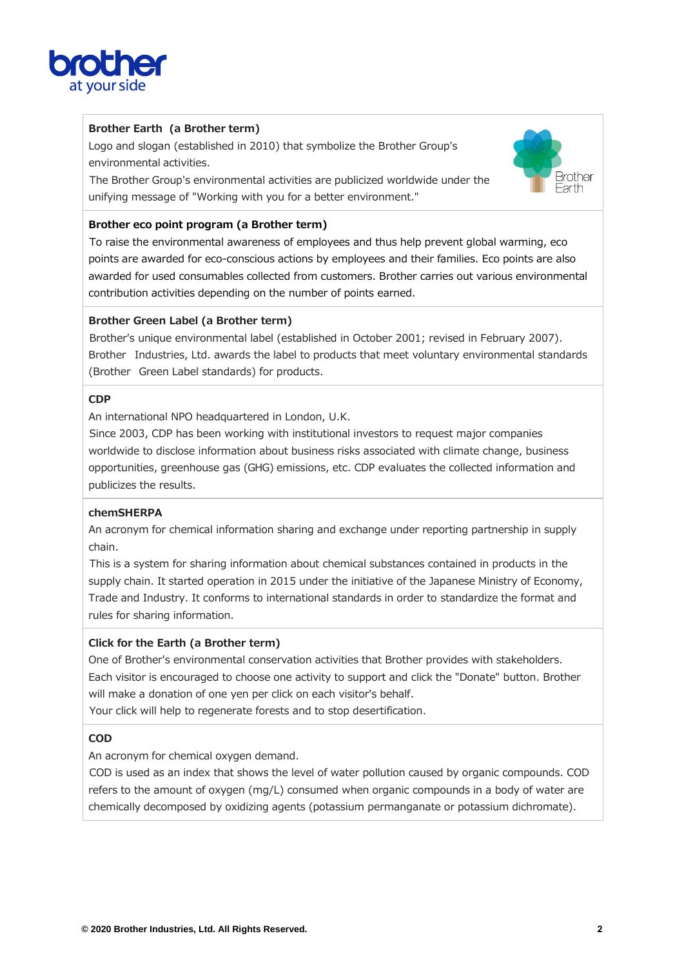

# **Brother Earth (a Brother term)**

Logo and slogan (established in 2010) that symbolize the Brother Group's environmental activities.

The Brother Group's environmental activities are publicized worldwide under the unifying message of "Working with you for a better environment."



# **Brother eco point program (a Brother term)**

To raise the environmental awareness of employees and thus help prevent global warming, eco points are awarded for eco-conscious actions by employees and their families. Eco points are also awarded for used consumables collected from customers. Brother carries out various environmental contribution activities depending on the number of points earned.

# **Brother Green Label (a Brother term)**

Brother's unique environmental label (established in October 2001; revised in February 2007). Brother Industries, Ltd. awards the label to products that meet voluntary environmental standards (Brother Green Label standards) for products.

# **CDP**

An international NPO headquartered in London, U.K.

Since 2003, CDP has been working with institutional investors to request major companies worldwide to disclose information about business risks associated with climate change, business opportunities, greenhouse gas (GHG) emissions, etc. CDP evaluates the collected information and publicizes the results.

# **chemSHERPA**

An acronym for chemical information sharing and exchange under reporting partnership in supply chain.

This is a system for sharing information about chemical substances contained in products in the supply chain. It started operation in 2015 under the initiative of the Japanese Ministry of Economy, Trade and Industry. It conforms to international standards in order to standardize the format and rules for sharing information.

# **Click for the Earth (a Brother term)**

One of Brother's environmental conservation activities that Brother provides with stakeholders. Each visitor is encouraged to choose one activity to support and click the "Donate" button. Brother will make a donation of one yen per click on each visitor's behalf.

Your click will help to regenerate forests and to stop desertification.

# **COD**

An acronym for chemical oxygen demand.

COD is used as an index that shows the level of water pollution caused by organic compounds. COD refers to the amount of oxygen (mg/L) consumed when organic compounds in a body of water are chemically decomposed by oxidizing agents (potassium permanganate or potassium dichromate).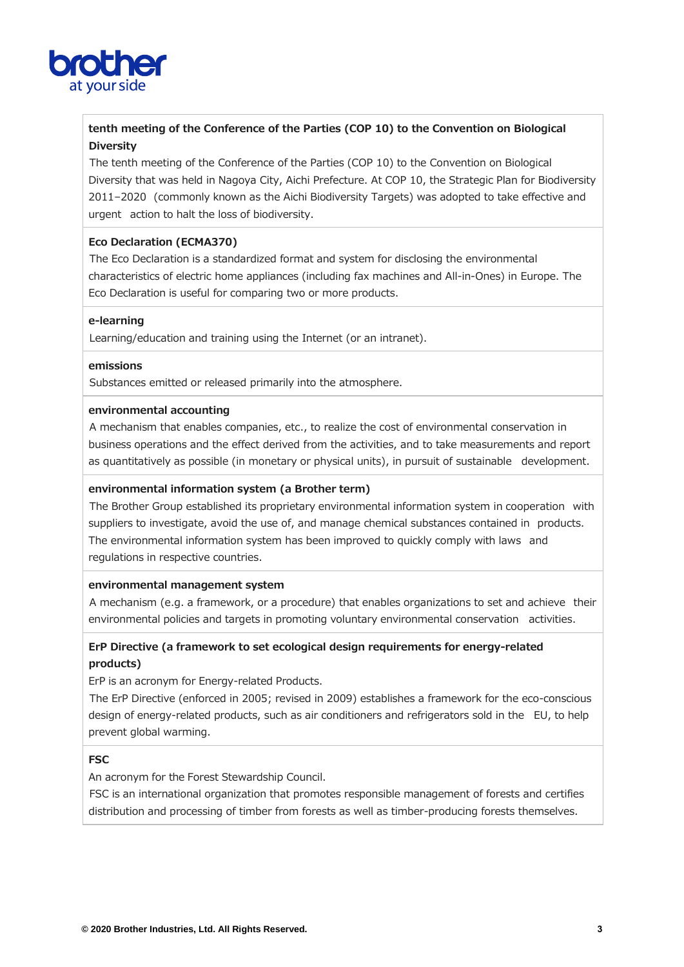

# **tenth meeting of the Conference of the Parties (COP 10) to the Convention on Biological Diversity**

The tenth meeting of the Conference of the Parties (COP 10) to the Convention on Biological Diversity that was held in Nagoya City, Aichi Prefecture. At COP 10, the Strategic Plan for Biodiversity 2011–2020 (commonly known as the Aichi Biodiversity Targets) was adopted to take effective and urgent action to halt the loss of biodiversity.

## **Eco Declaration (ECMA370)**

The Eco Declaration is a standardized format and system for disclosing the environmental characteristics of electric home appliances (including fax machines and All-in-Ones) in Europe. The Eco Declaration is useful for comparing two or more products.

#### **e-learning**

Learning/education and training using the Internet (or an intranet).

#### **emissions**

Substances emitted or released primarily into the atmosphere.

### **environmental accounting**

A mechanism that enables companies, etc., to realize the cost of environmental conservation in business operations and the effect derived from the activities, and to take measurements and report as quantitatively as possible (in monetary or physical units), in pursuit of sustainable development.

#### **environmental information system (a Brother term)**

The Brother Group established its proprietary environmental information system in cooperation with suppliers to investigate, avoid the use of, and manage chemical substances contained in products. The environmental information system has been improved to quickly comply with laws and regulations in respective countries.

#### **environmental management system**

A mechanism (e.g. a framework, or a procedure) that enables organizations to set and achieve their environmental policies and targets in promoting voluntary environmental conservation activities.

# **ErP Directive (a framework to set ecological design requirements for energy-related products)**

ErP is an acronym for Energy-related Products.

The ErP Directive (enforced in 2005; revised in 2009) establishes a framework for the eco-conscious design of energy-related products, such as air conditioners and refrigerators sold in the EU, to help prevent global warming.

#### **FSC**

An acronym for the Forest Stewardship Council.

FSC is an international organization that promotes responsible management of forests and certifies distribution and processing of timber from forests as well as timber-producing forests themselves.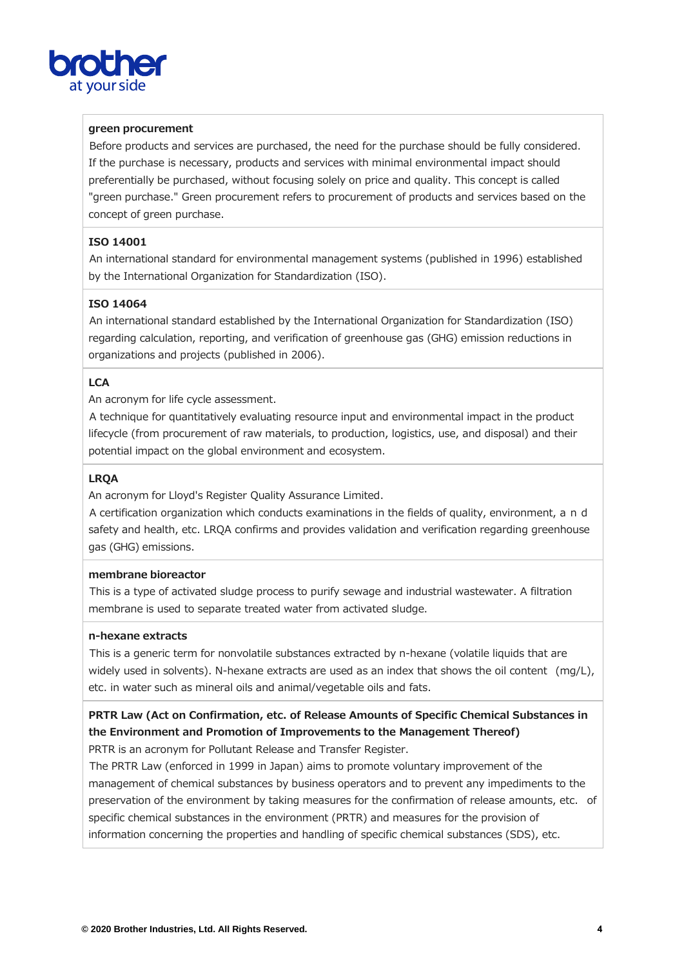

## **green procurement**

Before products and services are purchased, the need for the purchase should be fully considered. If the purchase is necessary, products and services with minimal environmental impact should preferentially be purchased, without focusing solely on price and quality. This concept is called "green purchase." Green procurement refers to procurement of products and services based on the concept of green purchase.

## **ISO 14001**

An international standard for environmental management systems (published in 1996) established by the International Organization for Standardization (ISO).

#### **ISO 14064**

An international standard established by the International Organization for Standardization (ISO) regarding calculation, reporting, and verification of greenhouse gas (GHG) emission reductions in organizations and projects (published in 2006).

## **LCA**

An acronym for life cycle assessment.

A technique for quantitatively evaluating resource input and environmental impact in the product lifecycle (from procurement of raw materials, to production, logistics, use, and disposal) and their potential impact on the global environment and ecosystem.

## **LRQA**

An acronym for Lloyd's Register Quality Assurance Limited.

A certification organization which conducts examinations in the fields of quality, environment, a n d safety and health, etc. LRQA confirms and provides validation and verification regarding greenhouse gas (GHG) emissions.

#### **membrane bioreactor**

This is a type of activated sludge process to purify sewage and industrial wastewater. A filtration membrane is used to separate treated water from activated sludge.

#### **n-hexane extracts**

This is a generic term for nonvolatile substances extracted by n-hexane (volatile liquids that are widely used in solvents). N-hexane extracts are used as an index that shows the oil content (mg/L), etc. in water such as mineral oils and animal/vegetable oils and fats.

# **PRTR Law (Act on Confirmation, etc. of Release Amounts of Specific Chemical Substances in the Environment and Promotion of Improvements to the Management Thereof)**

PRTR is an acronym for Pollutant Release and Transfer Register.

The PRTR Law (enforced in 1999 in Japan) aims to promote voluntary improvement of the management of chemical substances by business operators and to prevent any impediments to the preservation of the environment by taking measures for the confirmation of release amounts, etc. of specific chemical substances in the environment (PRTR) and measures for the provision of information concerning the properties and handling of specific chemical substances (SDS), etc.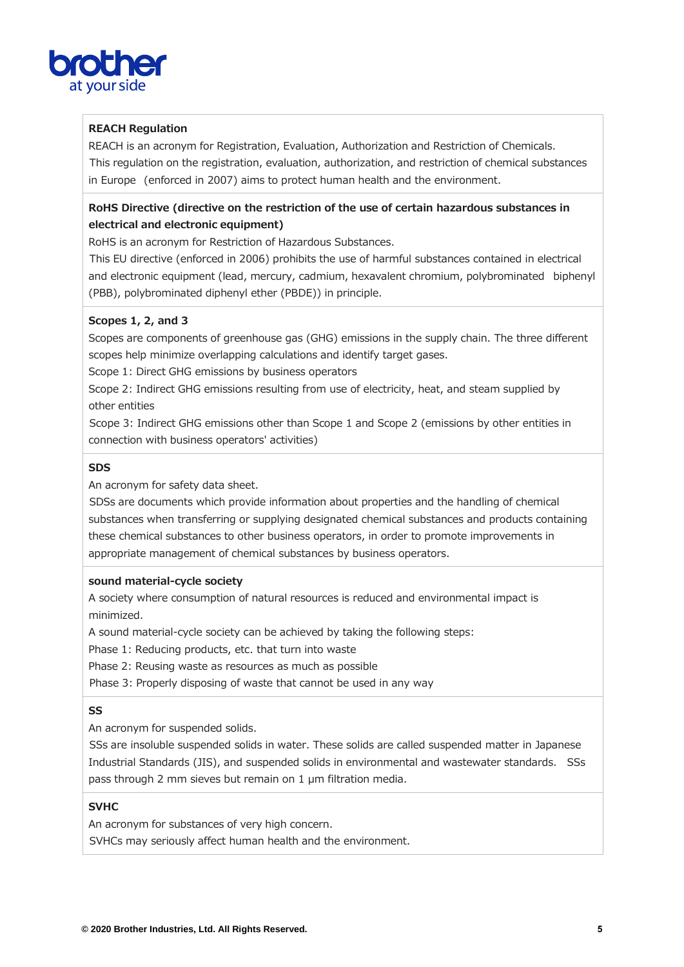

# **REACH Regulation**

REACH is an acronym for Registration, Evaluation, Authorization and Restriction of Chemicals. This regulation on the registration, evaluation, authorization, and restriction of chemical substances in Europe (enforced in 2007) aims to protect human health and the environment.

# **RoHS Directive (directive on the restriction of the use of certain hazardous substances in electrical and electronic equipment)**

RoHS is an acronym for Restriction of Hazardous Substances.

This EU directive (enforced in 2006) prohibits the use of harmful substances contained in electrical and electronic equipment (lead, mercury, cadmium, hexavalent chromium, polybrominated biphenyl (PBB), polybrominated diphenyl ether (PBDE)) in principle.

# **Scopes 1, 2, and 3**

Scopes are components of greenhouse gas (GHG) emissions in the supply chain. The three different scopes help minimize overlapping calculations and identify target gases.

Scope 1: Direct GHG emissions by business operators

Scope 2: Indirect GHG emissions resulting from use of electricity, heat, and steam supplied by other entities

Scope 3: Indirect GHG emissions other than Scope 1 and Scope 2 (emissions by other entities in connection with business operators' activities)

#### **SDS**

An acronym for safety data sheet.

SDSs are documents which provide information about properties and the handling of chemical substances when transferring or supplying designated chemical substances and products containing these chemical substances to other business operators, in order to promote improvements in appropriate management of chemical substances by business operators.

#### **sound material-cycle society**

A society where consumption of natural resources is reduced and environmental impact is minimized.

A sound material-cycle society can be achieved by taking the following steps:

Phase 1: Reducing products, etc. that turn into waste

Phase 2: Reusing waste as resources as much as possible

Phase 3: Properly disposing of waste that cannot be used in any way

#### **SS**

An acronym for suspended solids.

SSs are insoluble suspended solids in water. These solids are called suspended matter in Japanese Industrial Standards (JIS), and suspended solids in environmental and wastewater standards. SSs pass through 2 mm sieves but remain on 1 µm filtration media.

## **SVHC**

An acronym for substances of very high concern.

SVHCs may seriously affect human health and the environment.